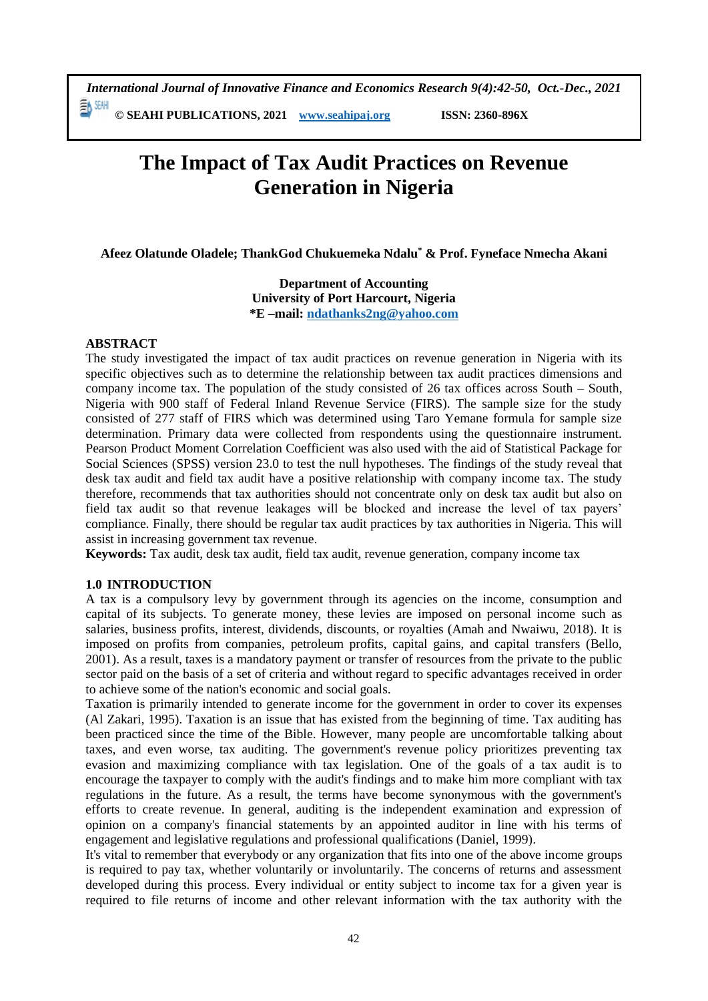*International Journal of Innovative Finance and Economics Research 9(4):42-50, Oct.-Dec., 2021* 動細

**© SEAHI PUBLICATIONS, 2021 [www.seahipaj.org](http://www.seahipaj.org/) ISSN: 2360-896X**

# **The Impact of Tax Audit Practices on Revenue Generation in Nigeria**

**Afeez Olatunde Oladele; ThankGod Chukuemeka Ndalu\* & Prof. Fyneface Nmecha Akani**

**Department of Accounting University of Port Harcourt, Nigeria \*E –mail: [ndathanks2ng@yahoo.com](mailto:ndathanks2ng@yahoo.com)**

#### **ABSTRACT**

The study investigated the impact of tax audit practices on revenue generation in Nigeria with its specific objectives such as to determine the relationship between tax audit practices dimensions and company income tax. The population of the study consisted of 26 tax offices across South – South, Nigeria with 900 staff of Federal Inland Revenue Service (FIRS). The sample size for the study consisted of 277 staff of FIRS which was determined using Taro Yemane formula for sample size determination. Primary data were collected from respondents using the questionnaire instrument. Pearson Product Moment Correlation Coefficient was also used with the aid of Statistical Package for Social Sciences (SPSS) version 23.0 to test the null hypotheses. The findings of the study reveal that desk tax audit and field tax audit have a positive relationship with company income tax. The study therefore, recommends that tax authorities should not concentrate only on desk tax audit but also on field tax audit so that revenue leakages will be blocked and increase the level of tax payers' compliance. Finally, there should be regular tax audit practices by tax authorities in Nigeria. This will assist in increasing government tax revenue.

**Keywords:** Tax audit, desk tax audit, field tax audit, revenue generation, company income tax

## **1.0 INTRODUCTION**

A tax is a compulsory levy by government through its agencies on the income, consumption and capital of its subjects. To generate money, these levies are imposed on personal income such as salaries, business profits, interest, dividends, discounts, or royalties (Amah and Nwaiwu, 2018). It is imposed on profits from companies, petroleum profits, capital gains, and capital transfers (Bello, 2001). As a result, taxes is a mandatory payment or transfer of resources from the private to the public sector paid on the basis of a set of criteria and without regard to specific advantages received in order to achieve some of the nation's economic and social goals.

Taxation is primarily intended to generate income for the government in order to cover its expenses (Al Zakari, 1995). Taxation is an issue that has existed from the beginning of time. Tax auditing has been practiced since the time of the Bible. However, many people are uncomfortable talking about taxes, and even worse, tax auditing. The government's revenue policy prioritizes preventing tax evasion and maximizing compliance with tax legislation. One of the goals of a tax audit is to encourage the taxpayer to comply with the audit's findings and to make him more compliant with tax regulations in the future. As a result, the terms have become synonymous with the government's efforts to create revenue. In general, auditing is the independent examination and expression of opinion on a company's financial statements by an appointed auditor in line with his terms of engagement and legislative regulations and professional qualifications (Daniel, 1999).

It's vital to remember that everybody or any organization that fits into one of the above income groups is required to pay tax, whether voluntarily or involuntarily. The concerns of returns and assessment developed during this process. Every individual or entity subject to income tax for a given year is required to file returns of income and other relevant information with the tax authority with the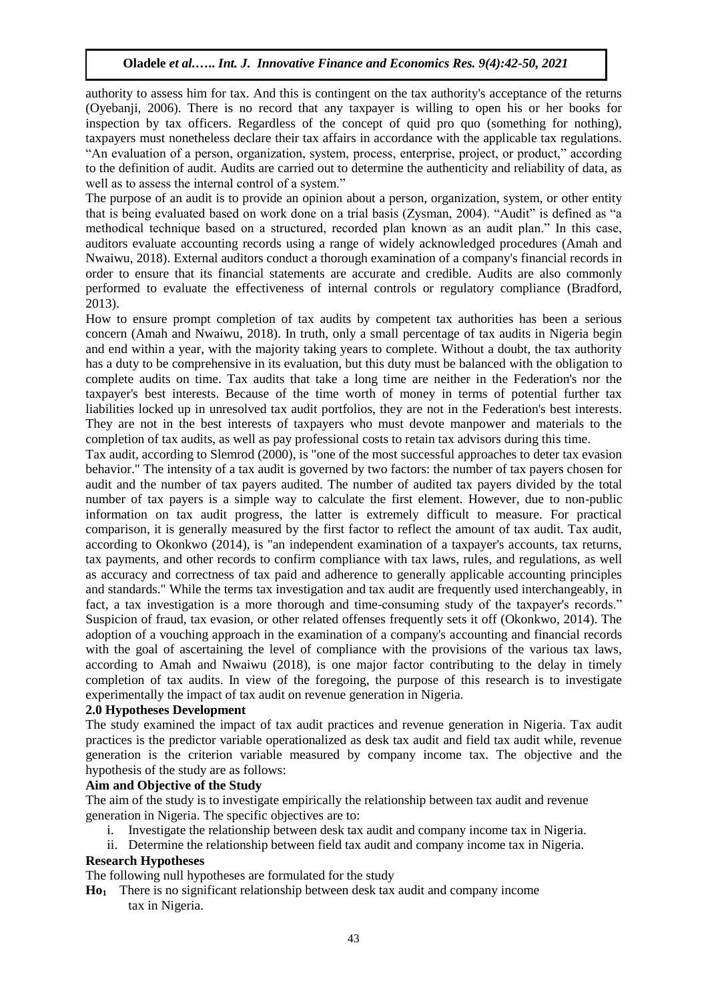authority to assess him for tax. And this is contingent on the tax authority's acceptance of the returns (Oyebanji, 2006). There is no record that any taxpayer is willing to open his or her books for inspection by tax officers. Regardless of the concept of quid pro quo (something for nothing), taxpayers must nonetheless declare their tax affairs in accordance with the applicable tax regulations. "An evaluation of a person, organization, system, process, enterprise, project, or product," according to the definition of audit. Audits are carried out to determine the authenticity and reliability of data, as well as to assess the internal control of a system."

The purpose of an audit is to provide an opinion about a person, organization, system, or other entity that is being evaluated based on work done on a trial basis (Zysman, 2004). "Audit" is defined as "a methodical technique based on a structured, recorded plan known as an audit plan." In this case, auditors evaluate accounting records using a range of widely acknowledged procedures (Amah and Nwaiwu, 2018). External auditors conduct a thorough examination of a company's financial records in order to ensure that its financial statements are accurate and credible. Audits are also commonly performed to evaluate the effectiveness of internal controls or regulatory compliance (Bradford, 2013).

How to ensure prompt completion of tax audits by competent tax authorities has been a serious concern (Amah and Nwaiwu, 2018). In truth, only a small percentage of tax audits in Nigeria begin and end within a year, with the majority taking years to complete. Without a doubt, the tax authority has a duty to be comprehensive in its evaluation, but this duty must be balanced with the obligation to complete audits on time. Tax audits that take a long time are neither in the Federation's nor the taxpayer's best interests. Because of the time worth of money in terms of potential further tax liabilities locked up in unresolved tax audit portfolios, they are not in the Federation's best interests. They are not in the best interests of taxpayers who must devote manpower and materials to the completion of tax audits, as well as pay professional costs to retain tax advisors during this time.

Tax audit, according to Slemrod (2000), is "one of the most successful approaches to deter tax evasion behavior." The intensity of a tax audit is governed by two factors: the number of tax payers chosen for audit and the number of tax payers audited. The number of audited tax payers divided by the total number of tax payers is a simple way to calculate the first element. However, due to non-public information on tax audit progress, the latter is extremely difficult to measure. For practical comparison, it is generally measured by the first factor to reflect the amount of tax audit. Tax audit, according to Okonkwo (2014), is "an independent examination of a taxpayer's accounts, tax returns, tax payments, and other records to confirm compliance with tax laws, rules, and regulations, as well as accuracy and correctness of tax paid and adherence to generally applicable accounting principles and standards." While the terms tax investigation and tax audit are frequently used interchangeably, in fact, a tax investigation is a more thorough and time-consuming study of the taxpayer's records." Suspicion of fraud, tax evasion, or other related offenses frequently sets it off (Okonkwo, 2014). The adoption of a vouching approach in the examination of a company's accounting and financial records with the goal of ascertaining the level of compliance with the provisions of the various tax laws, according to Amah and Nwaiwu (2018), is one major factor contributing to the delay in timely completion of tax audits. In view of the foregoing, the purpose of this research is to investigate experimentally the impact of tax audit on revenue generation in Nigeria.

## **2.0 Hypotheses Development**

The study examined the impact of tax audit practices and revenue generation in Nigeria. Tax audit practices is the predictor variable operationalized as desk tax audit and field tax audit while, revenue generation is the criterion variable measured by company income tax. The objective and the hypothesis of the study are as follows:

## **Aim and Objective of the Study**

The aim of the study is to investigate empirically the relationship between tax audit and revenue generation in Nigeria. The specific objectives are to:

- i. Investigate the relationship between desk tax audit and company income tax in Nigeria.
- ii. Determine the relationship between field tax audit and company income tax in Nigeria.

## **Research Hypotheses**

The following null hypotheses are formulated for the study

**Ho1** There is no significant relationship between desk tax audit and company income tax in Nigeria.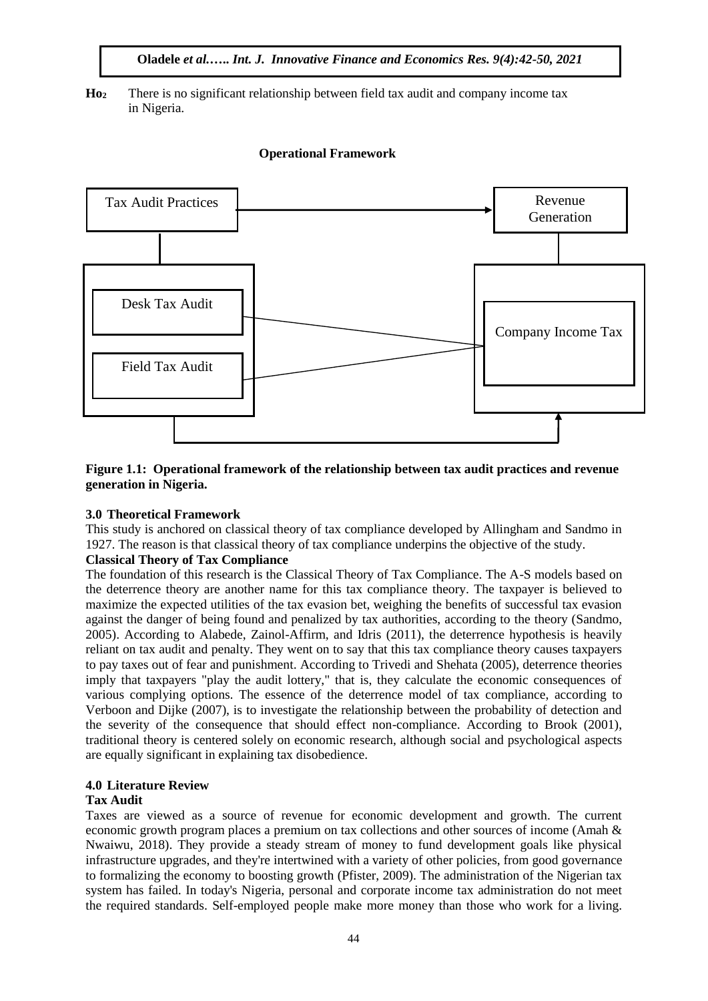**Ho<sup>2</sup>** There is no significant relationship between field tax audit and company income tax in Nigeria.

### **Operational Framework**



## **Figure 1.1: Operational framework of the relationship between tax audit practices and revenue generation in Nigeria.**

## **3.0 Theoretical Framework**

This study is anchored on classical theory of tax compliance developed by Allingham and Sandmo in 1927. The reason is that classical theory of tax compliance underpins the objective of the study.

#### **Classical Theory of Tax Compliance**

The foundation of this research is the Classical Theory of Tax Compliance. The A-S models based on the deterrence theory are another name for this tax compliance theory. The taxpayer is believed to maximize the expected utilities of the tax evasion bet, weighing the benefits of successful tax evasion against the danger of being found and penalized by tax authorities, according to the theory (Sandmo, 2005). According to Alabede, Zainol-Affirm, and Idris (2011), the deterrence hypothesis is heavily reliant on tax audit and penalty. They went on to say that this tax compliance theory causes taxpayers to pay taxes out of fear and punishment. According to Trivedi and Shehata (2005), deterrence theories imply that taxpayers "play the audit lottery," that is, they calculate the economic consequences of various complying options. The essence of the deterrence model of tax compliance, according to Verboon and Dijke (2007), is to investigate the relationship between the probability of detection and the severity of the consequence that should effect non-compliance. According to Brook (2001), traditional theory is centered solely on economic research, although social and psychological aspects are equally significant in explaining tax disobedience.

#### **4.0 Literature Review**

## **Tax Audit**

Taxes are viewed as a source of revenue for economic development and growth. The current economic growth program places a premium on tax collections and other sources of income (Amah & Nwaiwu, 2018). They provide a steady stream of money to fund development goals like physical infrastructure upgrades, and they're intertwined with a variety of other policies, from good governance to formalizing the economy to boosting growth (Pfister, 2009). The administration of the Nigerian tax system has failed. In today's Nigeria, personal and corporate income tax administration do not meet the required standards. Self-employed people make more money than those who work for a living.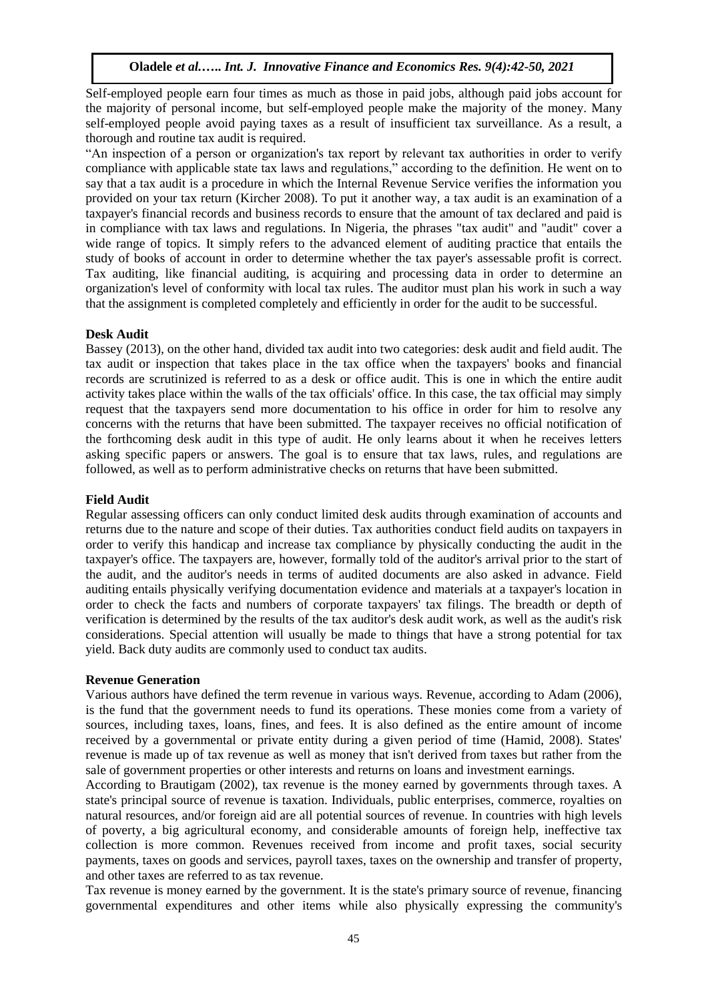Self-employed people earn four times as much as those in paid jobs, although paid jobs account for the majority of personal income, but self-employed people make the majority of the money. Many self-employed people avoid paying taxes as a result of insufficient tax surveillance. As a result, a thorough and routine tax audit is required.

"An inspection of a person or organization's tax report by relevant tax authorities in order to verify compliance with applicable state tax laws and regulations," according to the definition. He went on to say that a tax audit is a procedure in which the Internal Revenue Service verifies the information you provided on your tax return (Kircher 2008). To put it another way, a tax audit is an examination of a taxpayer's financial records and business records to ensure that the amount of tax declared and paid is in compliance with tax laws and regulations. In Nigeria, the phrases "tax audit" and "audit" cover a wide range of topics. It simply refers to the advanced element of auditing practice that entails the study of books of account in order to determine whether the tax payer's assessable profit is correct. Tax auditing, like financial auditing, is acquiring and processing data in order to determine an organization's level of conformity with local tax rules. The auditor must plan his work in such a way that the assignment is completed completely and efficiently in order for the audit to be successful.

## **Desk Audit**

Bassey (2013), on the other hand, divided tax audit into two categories: desk audit and field audit. The tax audit or inspection that takes place in the tax office when the taxpayers' books and financial records are scrutinized is referred to as a desk or office audit. This is one in which the entire audit activity takes place within the walls of the tax officials' office. In this case, the tax official may simply request that the taxpayers send more documentation to his office in order for him to resolve any concerns with the returns that have been submitted. The taxpayer receives no official notification of the forthcoming desk audit in this type of audit. He only learns about it when he receives letters asking specific papers or answers. The goal is to ensure that tax laws, rules, and regulations are followed, as well as to perform administrative checks on returns that have been submitted.

#### **Field Audit**

Regular assessing officers can only conduct limited desk audits through examination of accounts and returns due to the nature and scope of their duties. Tax authorities conduct field audits on taxpayers in order to verify this handicap and increase tax compliance by physically conducting the audit in the taxpayer's office. The taxpayers are, however, formally told of the auditor's arrival prior to the start of the audit, and the auditor's needs in terms of audited documents are also asked in advance. Field auditing entails physically verifying documentation evidence and materials at a taxpayer's location in order to check the facts and numbers of corporate taxpayers' tax filings. The breadth or depth of verification is determined by the results of the tax auditor's desk audit work, as well as the audit's risk considerations. Special attention will usually be made to things that have a strong potential for tax yield. Back duty audits are commonly used to conduct tax audits.

#### **Revenue Generation**

Various authors have defined the term revenue in various ways. Revenue, according to Adam (2006), is the fund that the government needs to fund its operations. These monies come from a variety of sources, including taxes, loans, fines, and fees. It is also defined as the entire amount of income received by a governmental or private entity during a given period of time (Hamid, 2008). States' revenue is made up of tax revenue as well as money that isn't derived from taxes but rather from the sale of government properties or other interests and returns on loans and investment earnings.

According to Brautigam (2002), tax revenue is the money earned by governments through taxes. A state's principal source of revenue is taxation. Individuals, public enterprises, commerce, royalties on natural resources, and/or foreign aid are all potential sources of revenue. In countries with high levels of poverty, a big agricultural economy, and considerable amounts of foreign help, ineffective tax collection is more common. Revenues received from income and profit taxes, social security payments, taxes on goods and services, payroll taxes, taxes on the ownership and transfer of property, and other taxes are referred to as tax revenue.

Tax revenue is money earned by the government. It is the state's primary source of revenue, financing governmental expenditures and other items while also physically expressing the community's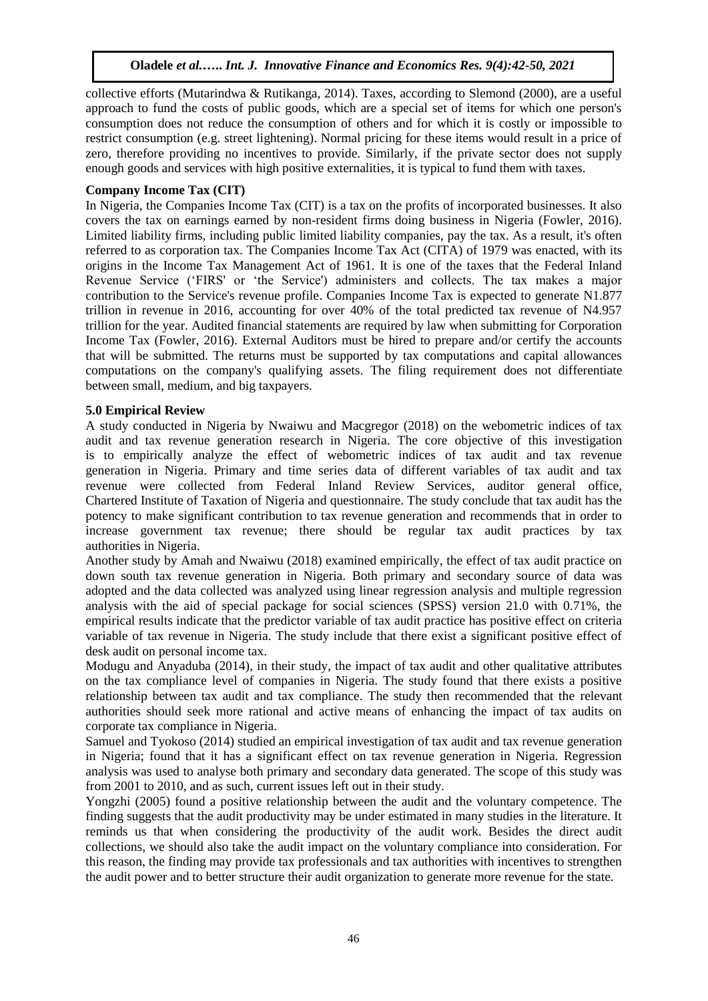collective efforts (Mutarindwa & Rutikanga, 2014). Taxes, according to Slemond (2000), are a useful approach to fund the costs of public goods, which are a special set of items for which one person's consumption does not reduce the consumption of others and for which it is costly or impossible to restrict consumption (e.g. street lightening). Normal pricing for these items would result in a price of zero, therefore providing no incentives to provide. Similarly, if the private sector does not supply enough goods and services with high positive externalities, it is typical to fund them with taxes.

## **Company Income Tax (CIT)**

In Nigeria, the Companies Income Tax (CIT) is a tax on the profits of incorporated businesses. It also covers the tax on earnings earned by non-resident firms doing business in Nigeria (Fowler, 2016). Limited liability firms, including public limited liability companies, pay the tax. As a result, it's often referred to as corporation tax. The Companies Income Tax Act (CITA) of 1979 was enacted, with its origins in the Income Tax Management Act of 1961. It is one of the taxes that the Federal Inland Revenue Service ('FIRS' or 'the Service') administers and collects. The tax makes a major contribution to the Service's revenue profile. Companies Income Tax is expected to generate N1.877 trillion in revenue in 2016, accounting for over 40% of the total predicted tax revenue of N4.957 trillion for the year. Audited financial statements are required by law when submitting for Corporation Income Tax (Fowler, 2016). External Auditors must be hired to prepare and/or certify the accounts that will be submitted. The returns must be supported by tax computations and capital allowances computations on the company's qualifying assets. The filing requirement does not differentiate between small, medium, and big taxpayers.

## **5.0 Empirical Review**

A study conducted in Nigeria by Nwaiwu and Macgregor (2018) on the webometric indices of tax audit and tax revenue generation research in Nigeria. The core objective of this investigation is to empirically analyze the effect of webometric indices of tax audit and tax revenue generation in Nigeria. Primary and time series data of different variables of tax audit and tax revenue were collected from Federal Inland Review Services, auditor general office, Chartered Institute of Taxation of Nigeria and questionnaire. The study conclude that tax audit has the potency to make significant contribution to tax revenue generation and recommends that in order to increase government tax revenue; there should be regular tax audit practices by tax authorities in Nigeria.

Another study by Amah and Nwaiwu (2018) examined empirically, the effect of tax audit practice on down south tax revenue generation in Nigeria. Both primary and secondary source of data was adopted and the data collected was analyzed using linear regression analysis and multiple regression analysis with the aid of special package for social sciences (SPSS) version 21.0 with 0.71%, the empirical results indicate that the predictor variable of tax audit practice has positive effect on criteria variable of tax revenue in Nigeria. The study include that there exist a significant positive effect of desk audit on personal income tax.

Modugu and Anyaduba (2014), in their study, the impact of tax audit and other qualitative attributes on the tax compliance level of companies in Nigeria. The study found that there exists a positive relationship between tax audit and tax compliance. The study then recommended that the relevant authorities should seek more rational and active means of enhancing the impact of tax audits on corporate tax compliance in Nigeria.

Samuel and Tyokoso (2014) studied an empirical investigation of tax audit and tax revenue generation in Nigeria; found that it has a significant effect on tax revenue generation in Nigeria. Regression analysis was used to analyse both primary and secondary data generated. The scope of this study was from 2001 to 2010, and as such, current issues left out in their study.

Yongzhi (2005) found a positive relationship between the audit and the voluntary competence. The finding suggests that the audit productivity may be under estimated in many studies in the literature. It reminds us that when considering the productivity of the audit work. Besides the direct audit collections, we should also take the audit impact on the voluntary compliance into consideration. For this reason, the finding may provide tax professionals and tax authorities with incentives to strengthen the audit power and to better structure their audit organization to generate more revenue for the state.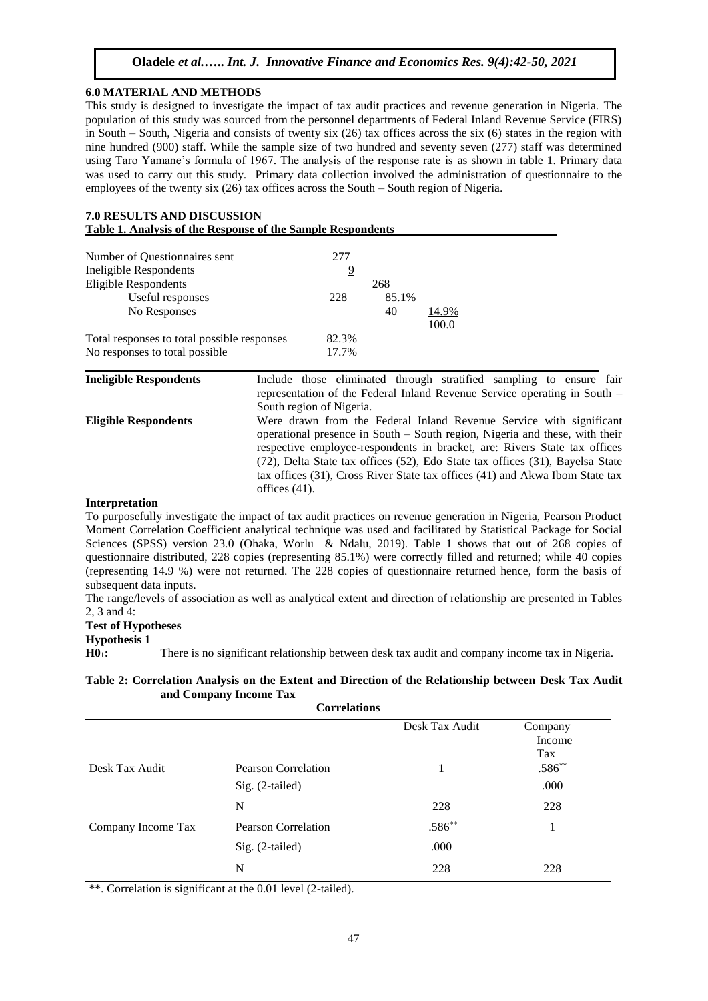#### **6.0 MATERIAL AND METHODS**

This study is designed to investigate the impact of tax audit practices and revenue generation in Nigeria. The population of this study was sourced from the personnel departments of Federal Inland Revenue Service (FIRS) in South – South, Nigeria and consists of twenty six (26) tax offices across the six (6) states in the region with nine hundred (900) staff. While the sample size of two hundred and seventy seven (277) staff was determined using Taro Yamane's formula of 1967. The analysis of the response rate is as shown in table 1. Primary data was used to carry out this study. Primary data collection involved the administration of questionnaire to the employees of the twenty six (26) tax offices across the South – South region of Nigeria.

| <b>7.0 RESULTS AND DISCUSSION</b>                           |  |
|-------------------------------------------------------------|--|
| Table 1. Analysis of the Response of the Sample Respondents |  |

| Number of Questionnaires sent               | 277   |       |       |
|---------------------------------------------|-------|-------|-------|
| Ineligible Respondents                      | 9     |       |       |
| <b>Eligible Respondents</b>                 |       | 268   |       |
| Useful responses                            | 228   | 85.1% |       |
| No Responses                                |       | 40    | 14.9% |
|                                             |       |       | 100.0 |
| Total responses to total possible responses | 82.3% |       |       |
| No responses to total possible              | 17.7% |       |       |

**Ineligible Respondents** Include those eliminated through stratified sampling to ensure fair representation of the Federal Inland Revenue Service operating in South – South region of Nigeria. **Eligible Respondents** Were drawn from the Federal Inland Revenue Service with significant operational presence in South – South region, Nigeria and these, with their respective employee-respondents in bracket, are: Rivers State tax offices (72), Delta State tax offices (52), Edo State tax offices (31), Bayelsa State tax offices (31), Cross River State tax offices (41) and Akwa Ibom State tax offices (41).

#### **Interpretation**

To purposefully investigate the impact of tax audit practices on revenue generation in Nigeria, Pearson Product Moment Correlation Coefficient analytical technique was used and facilitated by Statistical Package for Social Sciences (SPSS) version 23.0 (Ohaka, Worlu & Ndalu, 2019). Table 1 shows that out of 268 copies of questionnaire distributed, 228 copies (representing 85.1%) were correctly filled and returned; while 40 copies (representing 14.9 %) were not returned. The 228 copies of questionnaire returned hence, form the basis of subsequent data inputs.

The range/levels of association as well as analytical extent and direction of relationship are presented in Tables 2, 3 and 4:

#### **Test of Hypotheses**

#### **Hypothesis 1**

**H01:** There is no significant relationship between desk tax audit and company income tax in Nigeria.

#### **Table 2: Correlation Analysis on the Extent and Direction of the Relationship between Desk Tax Audit and Company Income Tax**

**Correlations**

|                    |                            | Desk Tax Audit | Company  |
|--------------------|----------------------------|----------------|----------|
|                    |                            |                | Income   |
|                    |                            |                | Tax      |
| Desk Tax Audit     | <b>Pearson Correlation</b> |                | $.586**$ |
|                    | $Sig. (2-tailed)$          |                | .000     |
|                    | N                          | 228            | 228      |
| Company Income Tax | <b>Pearson Correlation</b> | $.586**$       |          |
|                    | $Sig. (2-tailed)$          | .000           |          |
|                    | N                          | 228            | 228      |

\*\*. Correlation is significant at the 0.01 level (2-tailed).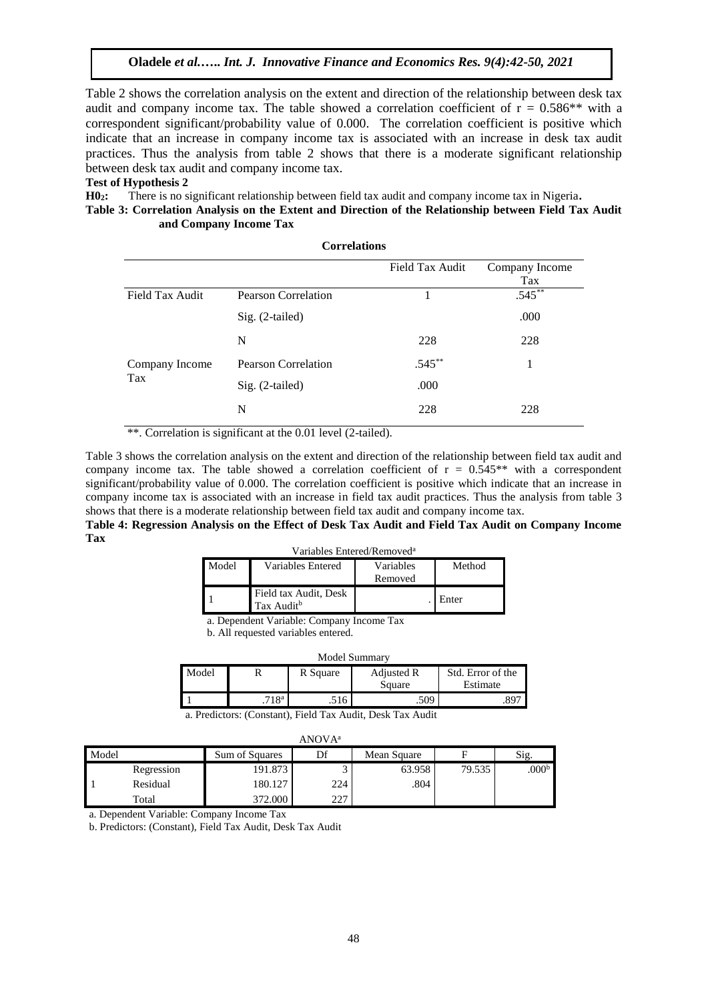Table 2 shows the correlation analysis on the extent and direction of the relationship between desk tax audit and company income tax. The table showed a correlation coefficient of  $r = 0.586**$  with a correspondent significant/probability value of 0.000. The correlation coefficient is positive which indicate that an increase in company income tax is associated with an increase in desk tax audit practices. Thus the analysis from table 2 shows that there is a moderate significant relationship between desk tax audit and company income tax.

#### **Test of Hypothesis 2**

**H02:** There is no significant relationship between field tax audit and company income tax in Nigeria**.**

#### **Table 3: Correlation Analysis on the Extent and Direction of the Relationship between Field Tax Audit and Company Income Tax**

| <b>Correlations</b> |                     |                 |                       |  |  |
|---------------------|---------------------|-----------------|-----------------------|--|--|
|                     |                     | Field Tax Audit | Company Income<br>Tax |  |  |
| Field Tax Audit     | Pearson Correlation | 1               | $.545***$             |  |  |
|                     | Sig. (2-tailed)     |                 | .000                  |  |  |
|                     | N                   | 228             | 228                   |  |  |
| Company Income      | Pearson Correlation | $.545***$       |                       |  |  |
| Tax                 | Sig. (2-tailed)     | .000            |                       |  |  |
|                     | N                   | 228             | 228                   |  |  |

\*\*. Correlation is significant at the 0.01 level (2-tailed).

Table 3 shows the correlation analysis on the extent and direction of the relationship between field tax audit and company income tax. The table showed a correlation coefficient of  $r = 0.545**$  with a correspondent significant/probability value of 0.000. The correlation coefficient is positive which indicate that an increase in company income tax is associated with an increase in field tax audit practices. Thus the analysis from table 3 shows that there is a moderate relationship between field tax audit and company income tax.

**Table 4: Regression Analysis on the Effect of Desk Tax Audit and Field Tax Audit on Company Income Tax**

|  | Variables Entered/Removed <sup>a</sup> |  |
|--|----------------------------------------|--|
|--|----------------------------------------|--|

| Model | Variables Entered                               | Variables<br>Removed | Method |
|-------|-------------------------------------------------|----------------------|--------|
|       | Field tax Audit, Desk<br>Tax Audit <sup>b</sup> |                      | Enter  |

a. Dependent Variable: Company Income Tax

b. All requested variables entered.

| Model Summary |                   |          |            |                   |  |  |
|---------------|-------------------|----------|------------|-------------------|--|--|
| Model         |                   | R Square | Adjusted R | Std. Error of the |  |  |
|               |                   |          | Square     | Estimate          |  |  |
|               | .718 <sup>a</sup> | .516     | .509       |                   |  |  |

a. Predictors: (Constant), Field Tax Audit, Desk Tax Audit

| ANOVA <sup>a</sup> |            |                |     |             |        |                   |  |  |
|--------------------|------------|----------------|-----|-------------|--------|-------------------|--|--|
| Model              |            | Sum of Squares | Df  | Mean Square | F      | Sig.              |  |  |
|                    | Regression | 191.873        |     | 63.958      | 79.535 | .000 <sup>b</sup> |  |  |
|                    | Residual   | 180.127        | 224 | .804        |        |                   |  |  |
|                    | Total      | 372.000        | 227 |             |        |                   |  |  |

a. Dependent Variable: Company Income Tax

b. Predictors: (Constant), Field Tax Audit, Desk Tax Audit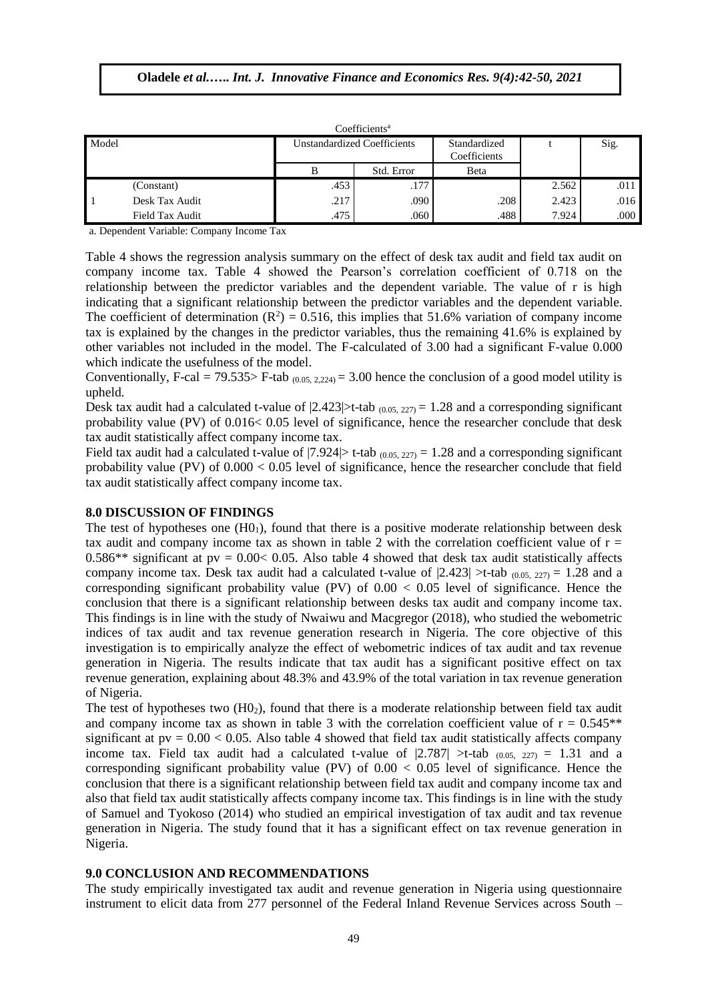| Coefficients <sup>a</sup> |                 |                             |            |                              |       |      |  |  |
|---------------------------|-----------------|-----------------------------|------------|------------------------------|-------|------|--|--|
| Model                     |                 | Unstandardized Coefficients |            | Standardized<br>Coefficients |       | Sig. |  |  |
|                           |                 |                             | Std. Error | Beta                         |       |      |  |  |
|                           | (Constant)      | .453                        | .177       |                              | 2.562 | .011 |  |  |
|                           | Desk Tax Audit  | .217                        | .090       | .208                         | 2.423 | .016 |  |  |
|                           | Field Tax Audit | .475                        | .060       | .488                         | 7.924 | .000 |  |  |

a. Dependent Variable: Company Income Tax

Table 4 shows the regression analysis summary on the effect of desk tax audit and field tax audit on company income tax. Table 4 showed the Pearson's correlation coefficient of 0.718 on the relationship between the predictor variables and the dependent variable. The value of r is high indicating that a significant relationship between the predictor variables and the dependent variable. The coefficient of determination  $(R^2) = 0.516$ , this implies that 51.6% variation of company income tax is explained by the changes in the predictor variables, thus the remaining 41.6% is explained by other variables not included in the model. The F-calculated of 3.00 had a significant F-value 0.000 which indicate the usefulness of the model.

Conventionally, F-cal = 79.535> F-tab  $(0.05, 2.224)$  = 3.00 hence the conclusion of a good model utility is upheld.

Desk tax audit had a calculated t-value of  $|2.423|$ >t-tab  $(0.05, 227)$  = 1.28 and a corresponding significant probability value (PV) of 0.016< 0.05 level of significance, hence the researcher conclude that desk tax audit statistically affect company income tax.

Field tax audit had a calculated t-value of  $|7.924|>$  t-tab  $(0.05, 227) = 1.28$  and a corresponding significant probability value (PV) of  $0.000 < 0.05$  level of significance, hence the researcher conclude that field tax audit statistically affect company income tax.

#### **8.0 DISCUSSION OF FINDINGS**

The test of hypotheses one  $(H0<sub>1</sub>)$ , found that there is a positive moderate relationship between desk tax audit and company income tax as shown in table 2 with the correlation coefficient value of  $r =$ 0.586\*\* significant at  $pv = 0.00 < 0.05$ . Also table 4 showed that desk tax audit statistically affects company income tax. Desk tax audit had a calculated t-value of  $|2.423| > t$ -tab  $(0.05, 227) = 1.28$  and a corresponding significant probability value (PV) of 0.00 < 0.05 level of significance. Hence the conclusion that there is a significant relationship between desks tax audit and company income tax. This findings is in line with the study of Nwaiwu and Macgregor (2018), who studied the webometric indices of tax audit and tax revenue generation research in Nigeria. The core objective of this investigation is to empirically analyze the effect of webometric indices of tax audit and tax revenue generation in Nigeria. The results indicate that tax audit has a significant positive effect on tax revenue generation, explaining about 48.3% and 43.9% of the total variation in tax revenue generation of Nigeria.

The test of hypotheses two  $(HO<sub>2</sub>)$ , found that there is a moderate relationship between field tax audit and company income tax as shown in table 3 with the correlation coefficient value of  $r = 0.545**$ significant at  $pv = 0.00 < 0.05$ . Also table 4 showed that field tax audit statistically affects company income tax. Field tax audit had a calculated t-value of  $|2.787| > t$ -tab  $(0.05, 227) = 1.31$  and a corresponding significant probability value (PV) of  $0.00 < 0.05$  level of significance. Hence the conclusion that there is a significant relationship between field tax audit and company income tax and also that field tax audit statistically affects company income tax. This findings is in line with the study of Samuel and Tyokoso (2014) who studied an empirical investigation of tax audit and tax revenue generation in Nigeria. The study found that it has a significant effect on tax revenue generation in Nigeria.

#### **9.0 CONCLUSION AND RECOMMENDATIONS**

The study empirically investigated tax audit and revenue generation in Nigeria using questionnaire instrument to elicit data from 277 personnel of the Federal Inland Revenue Services across South –